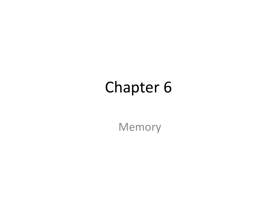#### Chapter 6

Memory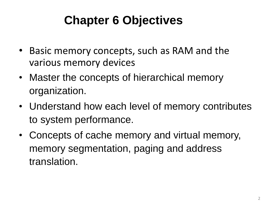#### **Chapter 6 Objectives**

- Basic memory concepts, such as RAM and the various memory devices
- Master the concepts of hierarchical memory organization.
- Understand how each level of memory contributes to system performance.
- Concepts of cache memory and virtual memory, memory segmentation, paging and address translation.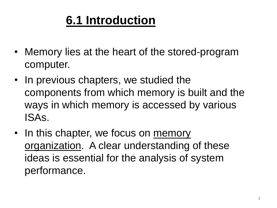#### **6.1 Introduction**

- Memory lies at the heart of the stored-program computer.
- In previous chapters, we studied the components from which memory is built and the ways in which memory is accessed by various ISAs.
- In this chapter, we focus on memory organization. A clear understanding of these ideas is essential for the analysis of system performance.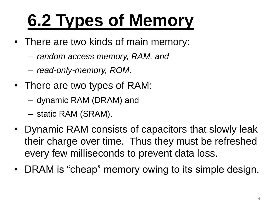### **6.2 Types of Memory**

- There are two kinds of main memory:
	- *random access memory, RAM, and*
	- *read-only-memory, ROM*.
- There are two types of RAM:
	- dynamic RAM (DRAM) and
	- static RAM (SRAM).
- Dynamic RAM consists of capacitors that slowly leak their charge over time. Thus they must be refreshed every few milliseconds to prevent data loss.
- DRAM is "cheap" memory owing to its simple design.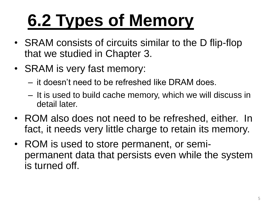### **6.2 Types of Memory**

- SRAM consists of circuits similar to the D flip-flop that we studied in Chapter 3.
- SRAM is very fast memory:
	- it doesn't need to be refreshed like DRAM does.
	- It is used to build cache memory, which we will discuss in detail later.
- ROM also does not need to be refreshed, either. In fact, it needs very little charge to retain its memory.
- ROM is used to store permanent, or semipermanent data that persists even while the system is turned off.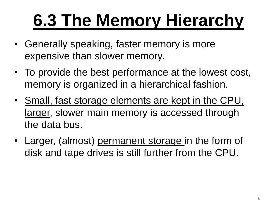### **6.3 The Memory Hierarchy**

- Generally speaking, faster memory is more expensive than slower memory.
- To provide the best performance at the lowest cost, memory is organized in a hierarchical fashion.
- Small, fast storage elements are kept in the CPU, larger, slower main memory is accessed through the data bus.
- Larger, (almost) permanent storage in the form of disk and tape drives is still further from the CPU.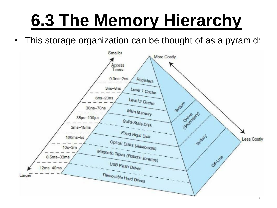#### **6.3 The Memory Hierarchy**

• This storage organization can be thought of as a pyramid:

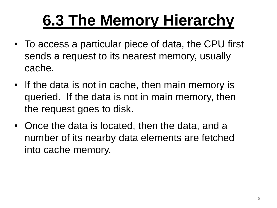#### **6.3 The Memory Hierarchy**

- To access a particular piece of data, the CPU first sends a request to its nearest memory, usually cache.
- If the data is not in cache, then main memory is queried. If the data is not in main memory, then the request goes to disk.
- Once the data is located, then the data, and a number of its nearby data elements are fetched into cache memory.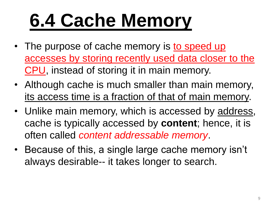## **6.4 Cache Memory**

- The purpose of cache memory is to speed up accesses by storing recently used data closer to the CPU, instead of storing it in main memory.
- Although cache is much smaller than main memory, its access time is a fraction of that of main memory.
- Unlike main memory, which is accessed by address, cache is typically accessed by **content**; hence, it is often called *content addressable memory*.
- Because of this, a single large cache memory isn't always desirable-- it takes longer to search.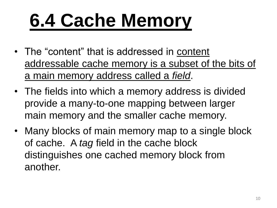## **6.4 Cache Memory**

- The "content" that is addressed in content addressable cache memory is a subset of the bits of a main memory address called a *field*.
- The fields into which a memory address is divided provide a many-to-one mapping between larger main memory and the smaller cache memory.
- Many blocks of main memory map to a single block of cache. A *tag* field in the cache block distinguishes one cached memory block from another.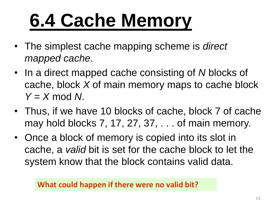## **6.4 Cache Memory**

- The simplest cache mapping scheme is *direct mapped cache*.
- In a direct mapped cache consisting of *N* blocks of cache, block *X* of main memory maps to cache block *Y* = *X* mod *N*.
- Thus, if we have 10 blocks of cache, block 7 of cache may hold blocks 7, 17, 27, 37, . . . of main memory.
- Once a block of memory is copied into its slot in cache, a *valid* bit is set for the cache block to let the system know that the block contains valid data.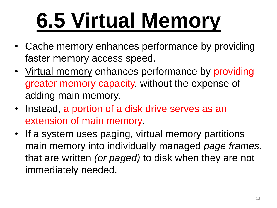# **6.5 Virtual Memory**

- Cache memory enhances performance by providing faster memory access speed.
- Virtual memory enhances performance by providing greater memory capacity, without the expense of adding main memory.
- Instead, a portion of a disk drive serves as an extension of main memory.
- If a system uses paging, virtual memory partitions main memory into individually managed *page frames*, that are written *(or paged)* to disk when they are not immediately needed.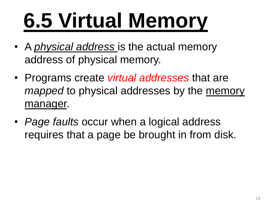# **6.5 Virtual Memory**

- A *physical address* is the actual memory address of physical memory.
- Programs create *virtual addresses* that are *mapped* to physical addresses by the memory manager.
- *Page faults* occur when a logical address requires that a page be brought in from disk.